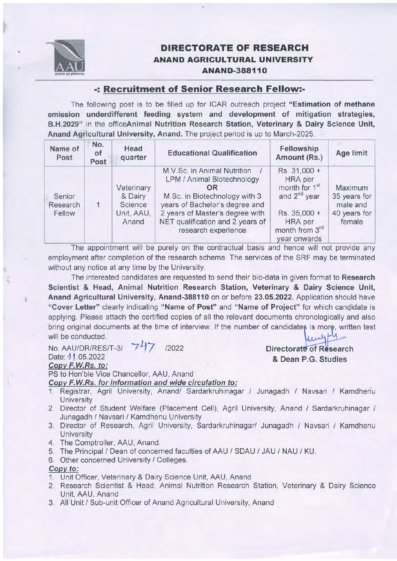

## DIRECTORATE OF RESEARCH ANAND AGRICULTURAL UNIVERSITY ANAND-388110

## -: Recruitment of Senior Research Fellow:-

The following post is to be filled up for ICAR outreach project "Estimation of methane emission underdifferent feeding system and development of mitigation strategies, B.H.2029" in the officeAnimal Nutrition Research Station, Veterinary & Dairy Science Unit, Anand Agricultural University, Anand. The project period is up to March-2025.

| Name of<br>Post              | No.<br><b>of</b><br>Post | Head<br>quarter                                         | <b>Educational Qualification</b>                                                                                                                                                                                                 | Fellowship<br>Amount (Rs.)                                                                                                                    | Age limit                                                     |
|------------------------------|--------------------------|---------------------------------------------------------|----------------------------------------------------------------------------------------------------------------------------------------------------------------------------------------------------------------------------------|-----------------------------------------------------------------------------------------------------------------------------------------------|---------------------------------------------------------------|
| Senior<br>Research<br>Fellow |                          | Veterinary<br>& Dairy<br>Science<br>Unit, AAU,<br>Anand | M.V.Sc. in Animal Nutrition<br>LPM / Animal Biotechnology<br>OR<br>M.Sc. in Biotechnology with 3<br>years of Bachelor's degree and<br>2 years of Master's degree with<br>NET qualification and 2 years of<br>research experience | Rs. 31,000 +<br><b>HRA</b> per<br>month for 1 <sup>st</sup><br>and $2^{nd}$ year<br>Rs. 35,000 +<br>HRA per<br>month from 3rd<br>year onwards | Maximum<br>35 years for<br>male and<br>40 years for<br>female |

The appointment will be purely on the contractual basis and hence will not provide any employment after completion of the research scheme. The services of the SRF may be terminated without any notice at any time by the University.

The interested candidates are requested to send their bio-data in given format to Research Scientist & Head, Animal Nutrition Research Station, Veterinary & Dairy Science Unit, Anand Agricultural University, Anand-388110 on or before 23.05.2022. Application should have "Cover Letter" clearly indicating "Name of Post" and "Name of Project" for which candidate is applying. Please attach the certified copies of all the relevant documents chronologically and also bring original documents at the time of interview. If the number of candidates is more, written test will be conducted.

No. AAU/DR/RES/T-3/ 747 /2022 Date: 11.05.2022 Copv F.W.Rs. to:

PS to Hon'ble Vice Chancellor. AAU. Anand

Copv F.W.Rs. for information and wide circulation to:

- 1. Registrar, Agril University, Anand/ Sardarkruhinagar / Junagadh / Navsari / Kamdhenu **University**
- 2. Director of Student Welfare (Placement Cell), Agril University, Anand / Sardarkruhinagar / Junagadh / Navsari / Kamdhenu University
- 3. Director of Research, Agril University, Sardarkruhinagar/ Junagadh / Navsari / Kamdhenu **University**
- 4. The Comptroller, AAU, Anand.
- 5. The Principal / Dean of concerned faculties of AAU / SDAU / JAU / NAU / KU.
- 6. Other concerned University / Colleges.

Copv to:

- 1. Unit Officer, Veterinary & Dairy Science Unit, AAU, Anand
- 2. Research Scientist & Head, Animal Nutrition Research Station, Veterinary & Dairy Science Unit, AAU, Anand
- 3. All Unit / Sub-unit Officer of Anand Agricultural University, Anand

Directorate of Research & Dean P.G. Studies